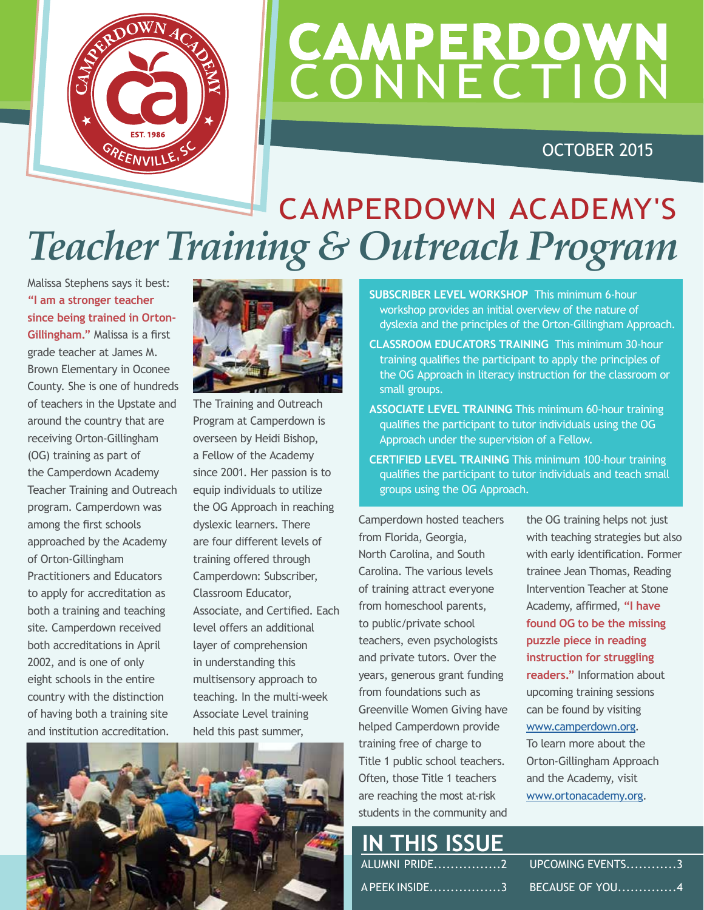

## **CAMPERDOWN CONNECTION**

OCTOBER 2015

### *Teacher Training & Outreach Program* CAMPERDOWN ACADEMY'S

Malissa Stephens says it best: **"I am a stronger teacher since being trained in Orton-Gillingham."** Malissa is a first grade teacher at James M. Brown Elementary in Oconee County. She is one of hundreds of teachers in the Upstate and around the country that are receiving Orton-Gillingham (OG) training as part of the Camperdown Academy Teacher Training and Outreach program. Camperdown was among the first schools approached by the Academy of Orton-Gillingham Practitioners and Educators to apply for accreditation as both a training and teaching site. Camperdown received both accreditations in April 2002, and is one of only eight schools in the entire country with the distinction of having both a training site and institution accreditation.



The Training and Outreach Program at Camperdown is overseen by Heidi Bishop, a Fellow of the Academy since 2001. Her passion is to equip individuals to utilize the OG Approach in reaching dyslexic learners. There are four different levels of training offered through Camperdown: Subscriber, Classroom Educator, Associate, and Certified. Each level offers an additional layer of comprehension in understanding this multisensory approach to teaching. In the multi-week Associate Level training held this past summer,



**SUBSCRIBER LEVEL WORKSHOP** This minimum 6-hour workshop provides an initial overview of the nature of dyslexia and the principles of the Orton-Gillingham Approach.

- **CLASSROOM EDUCATORS TRAINING** This minimum 30-hour training qualifies the participant to apply the principles of the OG Approach in literacy instruction for the classroom or small groups.
- **ASSOCIATE LEVEL TRAINING** This minimum 60-hour training qualifies the participant to tutor individuals using the OG Approach under the supervision of a Fellow.
- **CERTIFIED LEVEL TRAINING** This minimum 100-hour training qualifies the participant to tutor individuals and teach small groups using the OG Approach.

Camperdown hosted teachers from Florida, Georgia, North Carolina, and South Carolina. The various levels of training attract everyone from homeschool parents, to public/private school teachers, even psychologists and private tutors. Over the years, generous grant funding from foundations such as Greenville Women Giving have helped Camperdown provide training free of charge to Title 1 public school teachers. Often, those Title 1 teachers are reaching the most at-risk students in the community and

the OG training helps not just with teaching strategies but also with early identification. Former trainee Jean Thomas, Reading Intervention Teacher at Stone Academy, affirmed, **"I have found OG to be the missing puzzle piece in reading instruction for struggling readers."** Information about upcoming training sessions can be found by visiting [www.camperdown.org.](http://www.camperdown.org) To learn more about the Orton-Gillingham Approach and the Academy, visit

### **IN THIS ISSUE** ALUMNI PRIDE................2

A PEEK INSIDE.................3

UPCOMING EVENTS............3 BECAUSE OF YOU..............4

[www.ortonacademy.org](http://www.ortonacademy.org).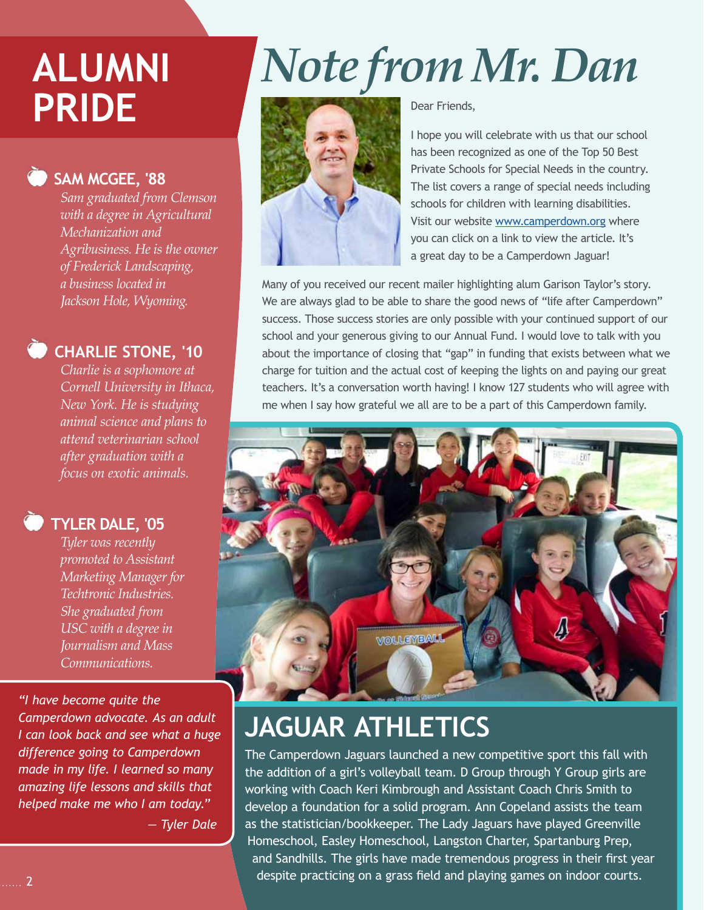### **SAM MCGEE, '88**

*Sam graduated from Clemson with a degree in Agricultural Mechanization and Agribusiness. He is the owner of Frederick Landscaping, a business located in Jackson Hole, Wyoming.* 

### **CHARLIE STONE, '10**

*Charlie is a sophomore at Cornell University in Ithaca, New York. He is studying animal science and plans to attend veterinarian school after graduation with a focus on exotic animals.* 

### **TYLER DALE, '05**

*Tyler was recently promoted to Assistant Marketing Manager for Techtronic Industries. She graduated from USC with a degree in Journalism and Mass Communications.* 

*"I have become quite the Camperdown advocate. As an adult I can look back and see what a huge difference going to Camperdown made in my life. I learned so many amazing life lessons and skills that helped make me who I am today."*

 *— Tyler Dale*

# **ALUMNI** *Note from Mr. Dan* **PRIDE**



Dear Friends,

I hope you will celebrate with us that our school has been recognized as one of the Top 50 Best Private Schools for Special Needs in the country. The list covers a range of special needs including schools for children with learning disabilities. Visit our website [www.camperdown.org](http://www.camperdown.org) where you can click on a link to view the article. It's a great day to be a Camperdown Jaguar!

Many of you received our recent mailer highlighting alum Garison Taylor's story. We are always glad to be able to share the good news of "life after Camperdown" success. Those success stories are only possible with your continued support of our school and your generous giving to our Annual Fund. I would love to talk with you about the importance of closing that "gap" in funding that exists between what we charge for tuition and the actual cost of keeping the lights on and paying our great teachers. It's a conversation worth having! I know 127 students who will agree with me when I say how grateful we all are to be a part of this Camperdown family.



### **JAGUAR ATHLETICS**

The Camperdown Jaguars launched a new competitive sport this fall with the addition of a girl's volleyball team. D Group through Y Group girls are working with Coach Keri Kimbrough and Assistant Coach Chris Smith to develop a foundation for a solid program. Ann Copeland assists the team as the statistician/bookkeeper. The Lady Jaguars have played Greenville Homeschool, Easley Homeschool, Langston Charter, Spartanburg Prep, and Sandhills. The girls have made tremendous progress in their first year despite practicing on a grass field and playing games on indoor courts.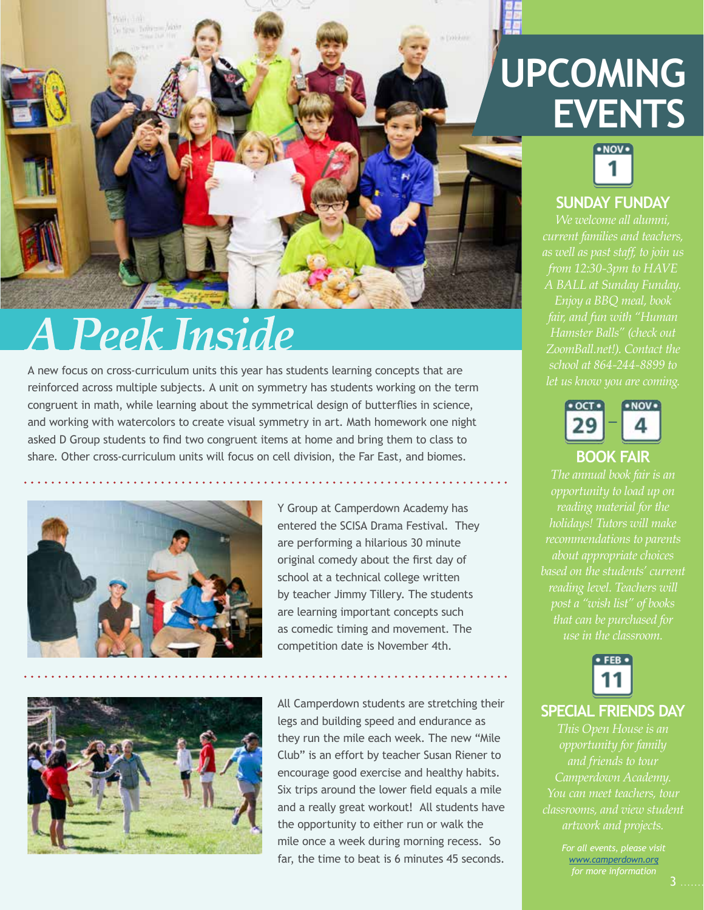

### **A Peek Inside**

A new focus on cross-curriculum units this year has students learning concepts that are reinforced across multiple subjects. A unit on symmetry has students working on the term congruent in math, while learning about the symmetrical design of butterflies in science, and working with watercolors to create visual symmetry in art. Math homework one night asked D Group students to find two congruent items at home and bring them to class to share. Other cross-curriculum units will focus on cell division, the Far East, and biomes.



Y Group at Camperdown Academy has entered the SCISA Drama Festival. They are performing a hilarious 30 minute original comedy about the first day of school at a technical college written by teacher Jimmy Tillery. The students are learning important concepts such as comedic timing and movement. The competition date is November 4th.



All Camperdown students are stretching their legs and building speed and endurance as they run the mile each week. The new "Mile Club" is an effort by teacher Susan Riener to encourage good exercise and healthy habits. Six trips around the lower field equals a mile and a really great workout! All students have the opportunity to either run or walk the mile once a week during morning recess. So far, the time to beat is 6 minutes 45 seconds.

### **UPCOMING EVENTS**



### **SUNDAY FUNDAY**

*We welcome all alumni, current families and teachers, Enjoy a BBQ meal, book ZoomBall.net!). Contact the let us know you are coming.*



#### **BOOK FAIR**

*The annual book fair is an opportunity to load up on reading material for the about appropriate choices based on the students' current use in the classroom.*



#### **SPECIAL FRIENDS DAY**

*This Open House is an opportunity for family and friends to tour You can meet teachers, tour classrooms, and view student* 

*[www.camperdown.org](http://www.camperdown.org)*

3